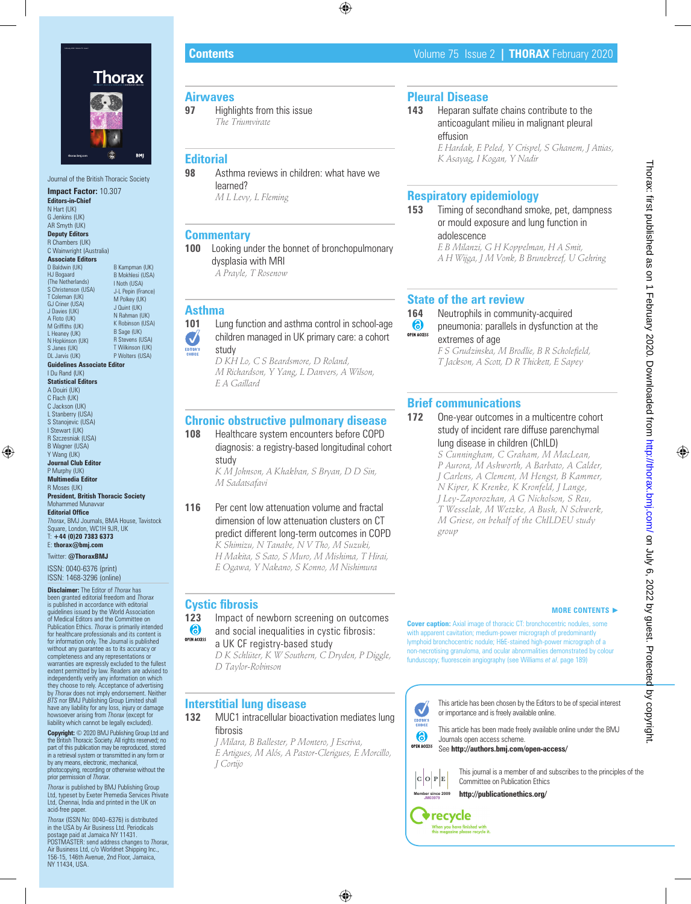

Journal of the British Thoracic Society **Impact Factor:** 10.307 **Editors-in-Chief** N Hart (UK)

G Jenkins (UK) AR Smyth (UK) **Deputy Editors**

R Chambers (UK) C Wainwright (Australia)

**Associate Editors** D Baldwin (UK)

HJ Bogaard (The Netherlands) S Christenson (USA) T Coleman (UK) GJ Criner (USA) J Davies (UK) A Floto (UK) M Griffiths (UK) L Heaney (UK) N Hopkinson (UK) S Janes (UK) DL Jarvis (UK) B Kampman (UK) B Mokhlesi (USA) I Noth (USA) J-L Pepin (France) M Polkey (UK) J Quint (UK) N Rahman (UK) K Robinson (USA) B Sage (UK) R Stevens (USA) T Wilkinson (UK) P Wolters (USA)

**Guidelines Associate Editor** I Du Rand (UK)

**Statistical Editors** A Douiri (UK) C Flach (UK) C Jackson (UK) L Stanberry (USA) S Stanojevic (USA) I Stewart (UK) R Szczesniak (USA) B Wagner (USA) Y Wang (UK) **Journal Club Editor** P Murphy (UK) **Multimedia Editor**

R Moses (UK) **President, British Thoracic Society** Mohammed Munavvar **Editorial Office**

*Thorax*, BMJ Journals, BMA House, Tavistock Square, London, WC1H 9JR, UK T: **+44 (0)20 7383 6373** E: **thorax@bmj.com**

Twitter: **@ThoraxBMJ**

ISSN: 0040-6376 (print) ISSN: 1468-3296 (online)

**Disclaimer:** The Editor of *Thorax* has been granted editorial freedom and *Thorax* is published in accordance with editorial guidelines issued by the World Association of Medical Editors and the Committee on Publication Ethics. *Thorax* is primarily intended for healthcare professionals and its content is for information only. The Journal is published without any guarantee as to its accuracy or completeness and any representations or warranties are expressly excluded to the fullest extent permitted by law. Readers are advised to independently verify any information on which they choose to rely. Acceptance of advertising by *Thorax* does not imply endorsement. Neither<br>*BTS* nor BMJ Publishing Group Limited shall<br>have any liability for any loss, injury or damage<br>howsoever arising from *Thorax* (except for<br>liability which cannot be legally e

**Copyright:** © 2020 BMJ Publishing Group Ltd and the British Thoracic Society. All rights reserved; no part of this publication may be reproduced, stored in a retrieval system or transmitted in any form or<br>by any means, electronic, mechanical, photocopying, recording or otherwise without the prior permission of *Thorax*.

*Thorax* is published by BMJ Publishing Group Ltd, typeset by Exeter Premedia Services Private Ltd, Chennai, India and printed in the UK on acid-free paper.

*Thorax* (ISSN No: 0040–6376) is distributed in the USA by Air Business Ltd. Periodicals postage paid at Jamaica NY 11431. POSTMASTER: send address changes to *Thorax*, Air Business Ltd, c/o Worldnet Shipping Inc., 156-15, 146th Avenue, 2nd Floor, Jamaica, NY 11434, USA.

# **Contents** Volume 75 Issue 2 **| THORAX** February 2020

# **Airwaves**<br>97 Highl

**97** Highlights from this issue *The Triumvirate*

# **Editorial**

**98** Asthma reviews in children: what have we learned? *M L Levy, L Fleming*

## **Commentary**

**100** Looking under the bonnet of bronchopulmonary dysplasia with MRI *A Prayle, T Rosenow*

**Asthma**

### **101** Lung function and asthma control in school-age children managed in UK primary care: a cohort  $\left(\bigvee\right)$

study *D KH Lo, C S Beardsmore, D Roland, M Richardson, Y Yang, L Danvers, A Wilson, E A Gaillard*

# **Chronic obstructive pulmonary disease**

**108** Healthcare system encounters before COPD diagnosis: a registry-based longitudinal cohort study

*K M Johnson, A Khakban, S Bryan, D D Sin, M Sadatsafavi*

**116** Per cent low attenuation volume and fractal dimension of low attenuation clusters on CT predict different long-term outcomes in COPD *K Shimizu, N Tanabe, N V Tho, M Suzuki, H Makita, S Sato, S Muro, M Mishima, T Hirai, E Ogawa, Y Nakano, S Konno, M Nishimura*

# **Cystic fibrosis**

**123** Impact of newborn screening on outcomes 6 and social inequalities in cystic fibrosis: **OPEN ACCESS** 

## a UK CF registry-based study

### *D K Schlüter, K W Southern, C Dryden, P Diggle, D Taylor-Robinson*

# **Interstitial lung disease**

**132** MUC1 intracellular bioactivation mediates lung fibrosis

*J Milara, B Ballester, P Montero, J Escriva, E Artigues, M Alós, A Pastor-Clerigues, E Morcillo, J Cortijo*

### **Cover caption:** Axial image of thoracic CT: bronchocentric nodules, some with apparent cavitation; medium-power micrograph of predominantly lymphoid bronchocentric nodule; H&E-stained high-power micrograph of a non-necrotising granuloma, and ocular abnormalities demonstrated by colour funduscopy; fluorescein angiography (see Williams *et al*. page 189)

# **Pleural Disease**

**143** Heparan sulfate chains contribute to the anticoagulant milieu in malignant pleural effusion

*E Hardak, E Peled, Y Crispel, S Ghanem, J Attias, K Asayag, I Kogan, Y Nadir*

# **Respiratory epidemiology**

**153** Timing of secondhand smoke, pet, dampness or mould exposure and lung function in adolescence

*E B Milanzi, G H Koppelman, H A Smit, A H Wijga, J M Vonk, B Brunekreef, U Gehring*

# **State of the art review**

- **164** Neutrophils in community-acquired<br> **6** pneumonia: parallels in dysfunction
- pneumonia: parallels in dysfunction at the OPEN ACCESS extremes of age

*F S Grudzinska, M Brodlie, B R Scholefield, T Jackson, A Scott, D R Thickett, E Sapey*

# **Brief communications**

- **172** One-year outcomes in a multicentre cohort study of incident rare diffuse parenchymal lung disease in children (ChILD)
	- *S Cunningham, C Graham, M MacLean, P Aurora, M Ashworth, A Barbato, A Calder, J Carlens, A Clement, M Hengst, B Kammer, N Kiper, K Krenke, K Kronfeld, J Lange, J Ley-Zaporozhan, A G Nicholson, S Reu, T Wesselak, M Wetzke, A Bush, N Schwerk, M Griese, on behalf of the ChILDEU study group*

### **MORE CONTENTS** ►

### This article has been chosen by the Editors to be of special interest J or importance and is freely available online. EDITOR'S<br>CHOICE

This article has been made freely available online under the BMJ Journals open access scheme.

**OPEN ACCESS** See **http://authors.bmj.com/open-access/**



6

This journal is a member of and subscribes to the principles of the Committee on Publication Ethics

**http://publicationethics.org/**

**JM03979 v**recycle When you have finished with<br>this magazine please recycle it.